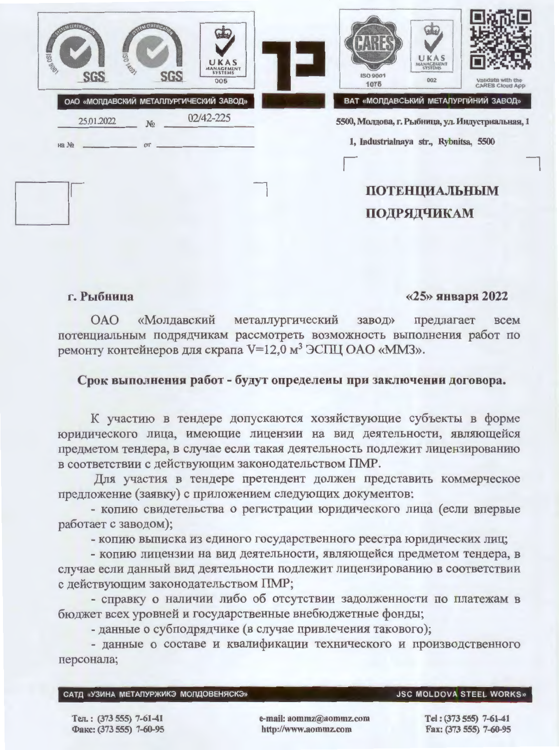| <b>USC SON</b><br>SGS                     | <b>USC APOT</b><br><b>SGS</b> | UKAS<br>MANAGEMENT<br>005               | UKAS<br>MANACEMENT<br><b>ISO 9001</b><br>002<br>1075 | Validate with the<br><b>CARES Cloud App</b> |
|-------------------------------------------|-------------------------------|-----------------------------------------|------------------------------------------------------|---------------------------------------------|
|                                           |                               | ОАО «МОЛДАВСКИЙ МЕТАЛЛУРГИЧЕСКИЙ ЗАВОД» | ВАТ «МОЛДАВСЬКИЙ МЕТАЛУРГІЙНИЙ ЗАВОД»                |                                             |
| 25.01.2022                                | N <sub>2</sub>                | 02/42-225                               | 5500, Молдова, г. Рыбница, ул. Индустриальная, 1     |                                             |
| на №<br>the control of the control of the | OT                            |                                         | 1, Industrialnaya str., Rybnitsa, 5500               |                                             |
|                                           |                               |                                         |                                                      |                                             |
|                                           |                               |                                         | <b>ПОТЕНЦИАЛЬНЫМ</b>                                 |                                             |
|                                           |                               |                                         |                                                      |                                             |
|                                           |                               |                                         | ПОДРЯДЧИКАМ                                          |                                             |

## г. Рыбница

## $\langle 25 \rangle$  января 2022

металлургический **OAO** «Молдавский завод» предлагает **BCCM** потенциальным подрядчикам рассмотреть возможность выполнения работ по ремонту контейнеров для скрапа V=12,0 м<sup>3</sup> ЭСПЦ ОАО «ММЗ».

## Срок выполнения работ - будут определены при заключении договора.

К участию в тендере допускаются хозяйствующие субъекты в форме юридического лица, имеющие лицензии на вид деятельности, являющейся предметом тендера, в случае если такая деятельность подлежит лицензированию в соответствии с действующим законодательством ПМР.

Для участия в тендере претендент должен представить коммерческое предложение (заявку) с приложением следующих документов:

- копию свидетельства о регистрации юридического лица (если впервые работает с заводом);

- копию выписка из единого государственного реестра юридических лиц;

- копию лицензии на вид деятельности, являющейся предметом тендера, в случае если данный вид деятельности подлежит лицензированию в соответствии с действующим законодательством ПМР;

- справку о наличии либо об отсутствии задолженности по платежам в бюджет всех уровней и государственные внебюджетные фонды;

- данные о субподрядчике (в случае привлечения такового);

- данные о составе и квалификации технического и производственного персонала;

|  |  | САТД «УЗИНА МЕТАЛУРЖИКЭ МОЛДОВЕНЯСКЭ |
|--|--|--------------------------------------|
|--|--|--------------------------------------|

## **JSC MOLDOVA STEEL WORKS»**

Тел.: (373 555) 7-61-41 Факс: (373 555) 7-60-95 e-mail: aommz@aommz.com http://www.aommz.com

Tel: (373 555) 7-61-41 Fax: (373 555) 7-60-95